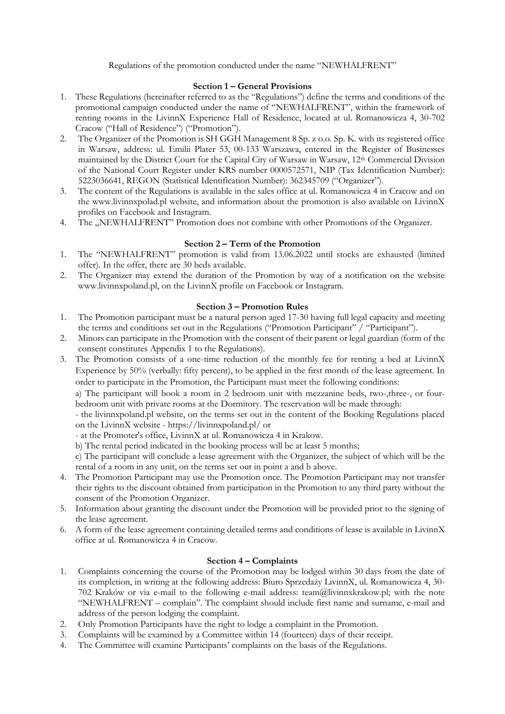Regulations of the promotion conducted under the name "NEWHALFRENT"

## **Section 1 – General Provisions**

- 1. These Regulations (hereinafter referred to as the "Regulations") define the terms and conditions of the promotional campaign conducted under the name of "NEWHALFRENT", within the framework of renting rooms in the LivinnX Experience Hall of Residence, located at ul. Romanowicza 4, 30-702 Cracow ("Hall of Residence") ("Promotion").
- 2. The Organizer of the Promotion is SH GGH Management 8 Sp. z o.o. Sp. K. with its registered office in Warsaw, address: ul. Emilii Plater 53, 00-133 Warszawa, entered in the Register of Businesses maintained by the District Court for the Capital City of Warsaw in Warsaw, 12th Commercial Division of the National Court Register under KRS number 0000572571, NIP (Tax Identification Number): 5223036641, REGON (Statistical Identification Number): 362345709 ("Organizer").
- 3. The content of the Regulations is available in the sales office at ul. Romanowicza 4 in Cracow and on the www.livinnxpolad.pl website, and information about the promotion is also available on LivinnX profiles on Facebook and Instagram.
- 4. The "NEWHALFRENT" Promotion does not combine with other Promotions of the Organizer.

## **Section 2 – Term of the Promotion**

- 1. The "NEWHALFRENT" promotion is valid from 13.06.2022 until stocks are exhausted (limited offer). In the offer, there are 30 beds available.
- 2. The Organizer may extend the duration of the Promotion by way of a notification on the website www.livinnxpoland.pl, on the LivinnX profile on Facebook or Instagram.

### **Section 3 – Promotion Rules**

- 1. The Promotion participant must be a natural person aged 17-30 having full legal capacity and meeting the terms and conditions set out in the Regulations ("Promotion Participant") ("Participant").
- 2. Minors can participate in the Promotion with the consent of their parent or legal guardian (form of the consent constitutes Appendix 1 to the Regulations).
- 3. The Promotion consists of a one-time reduction of the monthly fee for renting a bed at LivinnX Experience by 50% (verbally: fifty percent), to be applied in the first month of the lease agreement. In order to participate in the Promotion, the Participant must meet the following conditions:

a) The participant will book a room in 2 bedroom unit with mezzanine beds, two-,three-, or fourbedroom unit with private rooms at the Dormitory. The reservation will be made through:

- the livinnxpoland.pl website, on the terms set out in the content of the Booking Regulations placed on the LivinnX website - https://livinnxpoland.pl/ or

- at the Promoter's office, LivinnX at ul. Romanowicza 4 in Krakow.

b) The rental period indicated in the booking process will be at least 5 months;

c) The participant will conclude a lease agreement with the Organizer, the subject of which will be the rental of a room in any unit, on the terms set out in point a and b above.

- 4. The Promotion Participant may use the Promotion once. The Promotion Participant may not transfer their rights to the discount obtained from participation in the Promotion to any third party without the consent of the Promotion Organizer.
- 5. Information about granting the discount under the Promotion will be provided prior to the signing of the lease agreement.
- 6. A form of the lease agreement containing detailed terms and conditions of lease is available in LivinnX office at ul. Romanowicza 4 in Cracow.

# **Section 4 – Complaints**

- 1. Complaints concerning the course of the Promotion may be lodged within 30 days from the date of its completion, in writing at the following address: Biuro Sprzedaży LivinnX, ul. Romanowicza 4, 30- 702 Kraków or via e-mail to the following e-mail address: team@livinnxkrakow.pl; with the note "NEWHALFRENT – complain". The complaint should include first name and surname, e-mail and address of the person lodging the complaint.
- 2. Only Promotion Participants have the right to lodge a complaint in the Promotion.
- 3. Complaints will be examined by a Committee within 14 (fourteen) days of their receipt.
- 4. The Committee will examine Participants' complaints on the basis of the Regulations.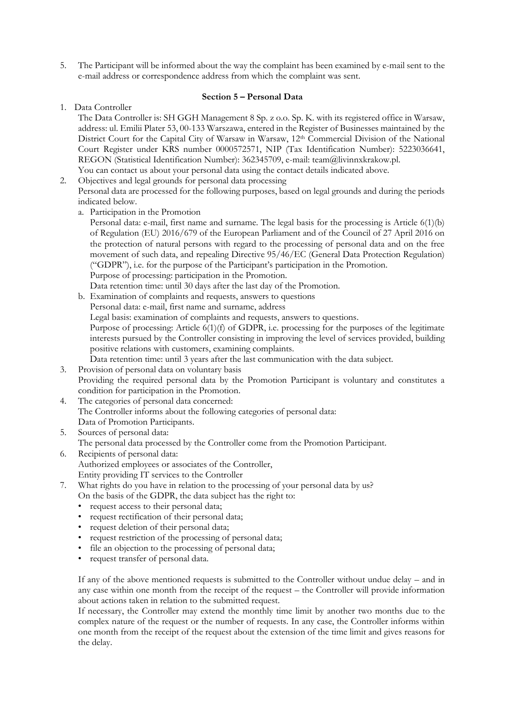5. The Participant will be informed about the way the complaint has been examined by e-mail sent to the e-mail address or correspondence address from which the complaint was sent.

# **Section 5 – Personal Data**

1. Data Controller

The Data Controller is: SH GGH Management 8 Sp. z o.o. Sp. K. with its registered office in Warsaw, address: ul. Emilii Plater 53, 00-133 Warszawa, entered in the Register of Businesses maintained by the District Court for the Capital City of Warsaw in Warsaw, 12<sup>th</sup> Commercial Division of the National Court Register under KRS number 0000572571, NIP (Tax Identification Number): 5223036641, REGON (Statistical Identification Number): 362345709, e-mail: team@livinnxkrakow.pl. You can contact us about your personal data using the contact details indicated above.

- 2. Objectives and legal grounds for personal data processing Personal data are processed for the following purposes, based on legal grounds and during the periods indicated below.
	- a. Participation in the Promotion

Personal data: e-mail, first name and surname. The legal basis for the processing is Article 6(1)(b) of Regulation (EU) 2016/679 of the European Parliament and of the Council of 27 April 2016 on the protection of natural persons with regard to the processing of personal data and on the free movement of such data, and repealing Directive 95/46/EC (General Data Protection Regulation) ("GDPR"), i.e. for the purpose of the Participant's participation in the Promotion. Purpose of processing: participation in the Promotion.

Data retention time: until 30 days after the last day of the Promotion.

- b. Examination of complaints and requests, answers to questions
- Personal data: e-mail, first name and surname, address Legal basis: examination of complaints and requests, answers to questions. Purpose of processing: Article 6(1)(f) of GDPR, i.e. processing for the purposes of the legitimate interests pursued by the Controller consisting in improving the level of services provided, building positive relations with customers, examining complaints.

Data retention time: until 3 years after the last communication with the data subject.

- 3. Provision of personal data on voluntary basis Providing the required personal data by the Promotion Participant is voluntary and constitutes a condition for participation in the Promotion.
- 4. The categories of personal data concerned: The Controller informs about the following categories of personal data: Data of Promotion Participants.
- 5. Sources of personal data: The personal data processed by the Controller come from the Promotion Participant.
- 6. Recipients of personal data: Authorized employees or associates of the Controller, Entity providing IT services to the Controller
- 7. What rights do you have in relation to the processing of your personal data by us? On the basis of the GDPR, the data subject has the right to:
	- request access to their personal data;
	- request rectification of their personal data;
	- request deletion of their personal data;
	- request restriction of the processing of personal data;
	- file an objection to the processing of personal data;
	- request transfer of personal data.

If any of the above mentioned requests is submitted to the Controller without undue delay – and in any case within one month from the receipt of the request – the Controller will provide information about actions taken in relation to the submitted request.

If necessary, the Controller may extend the monthly time limit by another two months due to the complex nature of the request or the number of requests. In any case, the Controller informs within one month from the receipt of the request about the extension of the time limit and gives reasons for the delay.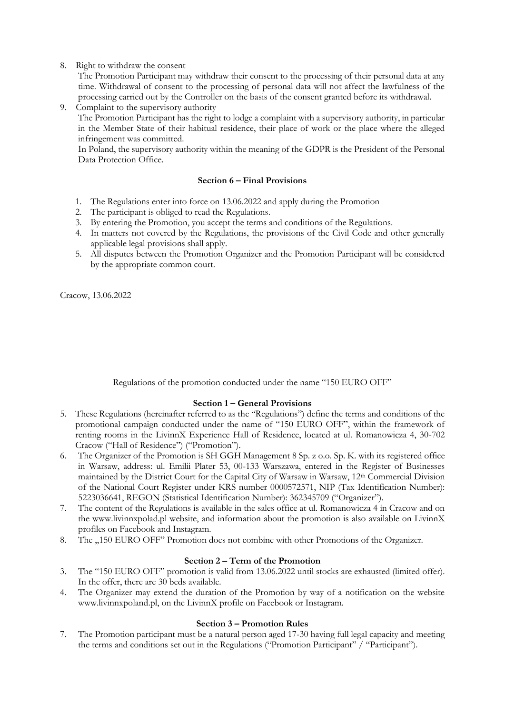8. Right to withdraw the consent

The Promotion Participant may withdraw their consent to the processing of their personal data at any time. Withdrawal of consent to the processing of personal data will not affect the lawfulness of the processing carried out by the Controller on the basis of the consent granted before its withdrawal.

9. Complaint to the supervisory authority The Promotion Participant has the right to lodge a complaint with a supervisory authority, in particular in the Member State of their habitual residence, their place of work or the place where the alleged infringement was committed.

In Poland, the supervisory authority within the meaning of the GDPR is the President of the Personal Data Protection Office.

# **Section 6 – Final Provisions**

- 1. The Regulations enter into force on 13.06.2022 and apply during the Promotion
- 2. The participant is obliged to read the Regulations.
- 3. By entering the Promotion, you accept the terms and conditions of the Regulations.
- 4. In matters not covered by the Regulations, the provisions of the Civil Code and other generally applicable legal provisions shall apply.
- 5. All disputes between the Promotion Organizer and the Promotion Participant will be considered by the appropriate common court.

Cracow, 13.06.2022

Regulations of the promotion conducted under the name "150 EURO OFF"

# **Section 1 – General Provisions**

- 5. These Regulations (hereinafter referred to as the "Regulations") define the terms and conditions of the promotional campaign conducted under the name of "150 EURO OFF", within the framework of renting rooms in the LivinnX Experience Hall of Residence, located at ul. Romanowicza 4, 30-702 Cracow ("Hall of Residence") ("Promotion").
- 6. The Organizer of the Promotion is SH GGH Management 8 Sp. z o.o. Sp. K. with its registered office in Warsaw, address: ul. Emilii Plater 53, 00-133 Warszawa, entered in the Register of Businesses maintained by the District Court for the Capital City of Warsaw in Warsaw, 12th Commercial Division of the National Court Register under KRS number 0000572571, NIP (Tax Identification Number): 5223036641, REGON (Statistical Identification Number): 362345709 ("Organizer").
- 7. The content of the Regulations is available in the sales office at ul. Romanowicza 4 in Cracow and on the www.livinnxpolad.pl website, and information about the promotion is also available on LivinnX profiles on Facebook and Instagram.
- 8. The "150 EURO OFF" Promotion does not combine with other Promotions of the Organizer.

# **Section 2 – Term of the Promotion**

- 3. The "150 EURO OFF" promotion is valid from 13.06.2022 until stocks are exhausted (limited offer). In the offer, there are 30 beds available.
- 4. The Organizer may extend the duration of the Promotion by way of a notification on the website www.livinnxpoland.pl, on the LivinnX profile on Facebook or Instagram.

### **Section 3 – Promotion Rules**

7. The Promotion participant must be a natural person aged 17-30 having full legal capacity and meeting the terms and conditions set out in the Regulations ("Promotion Participant" / "Participant").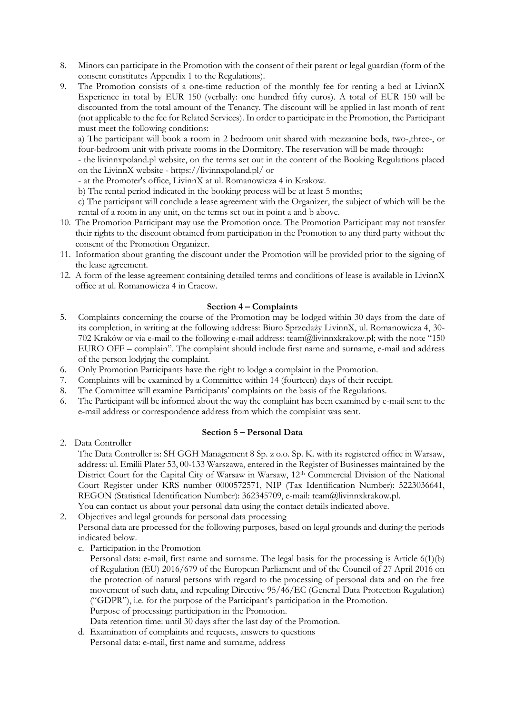- 8. Minors can participate in the Promotion with the consent of their parent or legal guardian (form of the consent constitutes Appendix 1 to the Regulations).
- 9. The Promotion consists of a one-time reduction of the monthly fee for renting a bed at LivinnX Experience in total by EUR 150 (verbally: one hundred fifty euros). A total of EUR 150 will be discounted from the total amount of the Tenancy. The discount will be applied in last month of rent (not applicable to the fee for Related Services). In order to participate in the Promotion, the Participant must meet the following conditions:

a) The participant will book a room in 2 bedroom unit shared with mezzanine beds, two-,three-, or four-bedroom unit with private rooms in the Dormitory. The reservation will be made through:

- the livinnxpoland.pl website, on the terms set out in the content of the Booking Regulations placed on the LivinnX website - https://livinnxpoland.pl/ or

- at the Promoter's office, LivinnX at ul. Romanowicza 4 in Krakow.

b) The rental period indicated in the booking process will be at least 5 months;

c) The participant will conclude a lease agreement with the Organizer, the subject of which will be the rental of a room in any unit, on the terms set out in point a and b above.

- 10. The Promotion Participant may use the Promotion once. The Promotion Participant may not transfer their rights to the discount obtained from participation in the Promotion to any third party without the consent of the Promotion Organizer.
- 11. Information about granting the discount under the Promotion will be provided prior to the signing of the lease agreement.
- 12. A form of the lease agreement containing detailed terms and conditions of lease is available in LivinnX office at ul. Romanowicza 4 in Cracow.

### **Section 4 – Complaints**

- 5. Complaints concerning the course of the Promotion may be lodged within 30 days from the date of its completion, in writing at the following address: Biuro Sprzedaży LivinnX, ul. Romanowicza 4, 30- 702 Kraków or via e-mail to the following e-mail address: team@livinnxkrakow.pl; with the note "150 EURO OFF – complain". The complaint should include first name and surname, e-mail and address of the person lodging the complaint.
- 6. Only Promotion Participants have the right to lodge a complaint in the Promotion.
- 7. Complaints will be examined by a Committee within 14 (fourteen) days of their receipt.
- 8. The Committee will examine Participants' complaints on the basis of the Regulations.
- 6. The Participant will be informed about the way the complaint has been examined by e-mail sent to the e-mail address or correspondence address from which the complaint was sent.

### **Section 5 – Personal Data**

2. Data Controller

The Data Controller is: SH GGH Management 8 Sp. z o.o. Sp. K. with its registered office in Warsaw, address: ul. Emilii Plater 53, 00-133 Warszawa, entered in the Register of Businesses maintained by the District Court for the Capital City of Warsaw in Warsaw, 12<sup>th</sup> Commercial Division of the National Court Register under KRS number 0000572571, NIP (Tax Identification Number): 5223036641, REGON (Statistical Identification Number): 362345709, e-mail: team@livinnxkrakow.pl.

- You can contact us about your personal data using the contact details indicated above.
- 2. Objectives and legal grounds for personal data processing

Personal data are processed for the following purposes, based on legal grounds and during the periods indicated below.

c. Participation in the Promotion

Personal data: e-mail, first name and surname. The legal basis for the processing is Article 6(1)(b) of Regulation (EU) 2016/679 of the European Parliament and of the Council of 27 April 2016 on the protection of natural persons with regard to the processing of personal data and on the free movement of such data, and repealing Directive 95/46/EC (General Data Protection Regulation) ("GDPR"), i.e. for the purpose of the Participant's participation in the Promotion. Purpose of processing: participation in the Promotion.

Data retention time: until 30 days after the last day of the Promotion.

d. Examination of complaints and requests, answers to questions Personal data: e-mail, first name and surname, address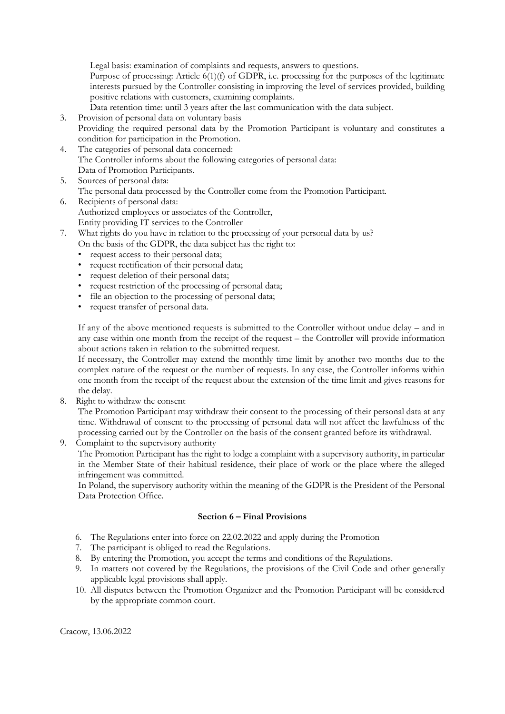Legal basis: examination of complaints and requests, answers to questions.

Purpose of processing: Article 6(1)(f) of GDPR, i.e. processing for the purposes of the legitimate interests pursued by the Controller consisting in improving the level of services provided, building positive relations with customers, examining complaints.

Data retention time: until 3 years after the last communication with the data subject.

- 3. Provision of personal data on voluntary basis Providing the required personal data by the Promotion Participant is voluntary and constitutes a condition for participation in the Promotion.
- 4. The categories of personal data concerned: The Controller informs about the following categories of personal data: Data of Promotion Participants.
- 5. Sources of personal data: The personal data processed by the Controller come from the Promotion Participant.
- 6. Recipients of personal data: Authorized employees or associates of the Controller, Entity providing IT services to the Controller
- 7. What rights do you have in relation to the processing of your personal data by us? On the basis of the GDPR, the data subject has the right to:
	- request access to their personal data;
	- request rectification of their personal data;
	- request deletion of their personal data;
	- request restriction of the processing of personal data;
	- file an objection to the processing of personal data;
	- request transfer of personal data.

If any of the above mentioned requests is submitted to the Controller without undue delay – and in any case within one month from the receipt of the request – the Controller will provide information about actions taken in relation to the submitted request.

If necessary, the Controller may extend the monthly time limit by another two months due to the complex nature of the request or the number of requests. In any case, the Controller informs within one month from the receipt of the request about the extension of the time limit and gives reasons for the delay.

8. Right to withdraw the consent

The Promotion Participant may withdraw their consent to the processing of their personal data at any time. Withdrawal of consent to the processing of personal data will not affect the lawfulness of the processing carried out by the Controller on the basis of the consent granted before its withdrawal.

9. Complaint to the supervisory authority

The Promotion Participant has the right to lodge a complaint with a supervisory authority, in particular in the Member State of their habitual residence, their place of work or the place where the alleged infringement was committed.

In Poland, the supervisory authority within the meaning of the GDPR is the President of the Personal Data Protection Office.

## **Section 6 – Final Provisions**

- 6. The Regulations enter into force on 22.02.2022 and apply during the Promotion
- 7. The participant is obliged to read the Regulations.
- 8. By entering the Promotion, you accept the terms and conditions of the Regulations.
- 9. In matters not covered by the Regulations, the provisions of the Civil Code and other generally applicable legal provisions shall apply.
- 10. All disputes between the Promotion Organizer and the Promotion Participant will be considered by the appropriate common court.

Cracow, 13.06.2022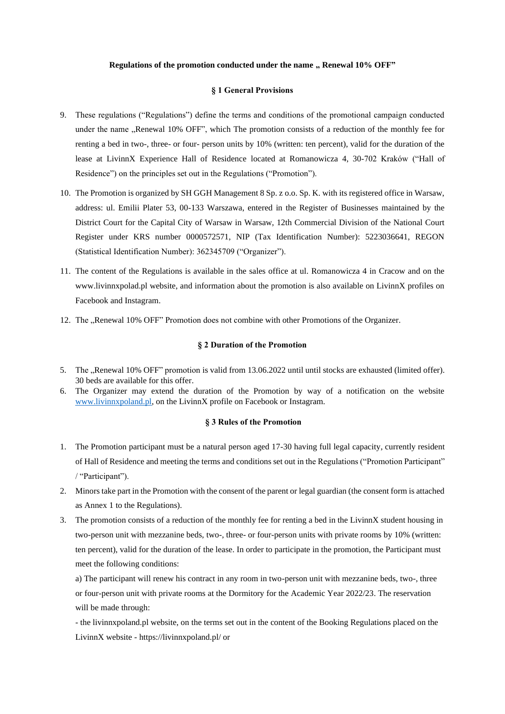#### **Regulations of the promotion conducted under the name " Renewal 10% OFF"**

#### **§ 1 General Provisions**

- 9. These regulations ("Regulations") define the terms and conditions of the promotional campaign conducted under the name "Renewal 10% OFF", which The promotion consists of a reduction of the monthly fee for renting a bed in two-, three- or four- person units by 10% (written: ten percent), valid for the duration of the lease at LivinnX Experience Hall of Residence located at Romanowicza 4, 30-702 Kraków ("Hall of Residence") on the principles set out in the Regulations ("Promotion").
- 10. The Promotion is organized by SH GGH Management 8 Sp. z o.o. Sp. K. with its registered office in Warsaw, address: ul. Emilii Plater 53, 00-133 Warszawa, entered in the Register of Businesses maintained by the District Court for the Capital City of Warsaw in Warsaw, 12th Commercial Division of the National Court Register under KRS number 0000572571, NIP (Tax Identification Number): 5223036641, REGON (Statistical Identification Number): 362345709 ("Organizer").
- 11. The content of the Regulations is available in the sales office at ul. Romanowicza 4 in Cracow and on the www.livinnxpolad.pl website, and information about the promotion is also available on LivinnX profiles on Facebook and Instagram.
- 12. The "Renewal 10% OFF" Promotion does not combine with other Promotions of the Organizer.

#### **§ 2 Duration of the Promotion**

- 5. The "Renewal 10% OFF" promotion is valid from 13.06.2022 until until stocks are exhausted (limited offer). 30 beds are available for this offer.
- 6. The Organizer may extend the duration of the Promotion by way of a notification on the website [www.livinnxpoland.pl,](http://www.livinnxpoland.pl/) on the LivinnX profile on Facebook or Instagram.

### **§ 3 Rules of the Promotion**

- 1. The Promotion participant must be a natural person aged 17-30 having full legal capacity, currently resident of Hall of Residence and meeting the terms and conditions set out in the Regulations ("Promotion Participant" / "Participant").
- 2. Minors take part in the Promotion with the consent of the parent or legal guardian (the consent form is attached as Annex 1 to the Regulations).
- 3. The promotion consists of a reduction of the monthly fee for renting a bed in the LivinnX student housing in two-person unit with mezzanine beds, two-, three- or four-person units with private rooms by 10% (written: ten percent), valid for the duration of the lease. In order to participate in the promotion, the Participant must meet the following conditions:
	- a) The participant will renew his contract in any room in two-person unit with mezzanine beds, two-, three or four-person unit with private rooms at the Dormitory for the Academic Year 2022/23. The reservation will be made through:
	- the livinnxpoland.pl website, on the terms set out in the content of the Booking Regulations placed on the LivinnX website - https://livinnxpoland.pl/ or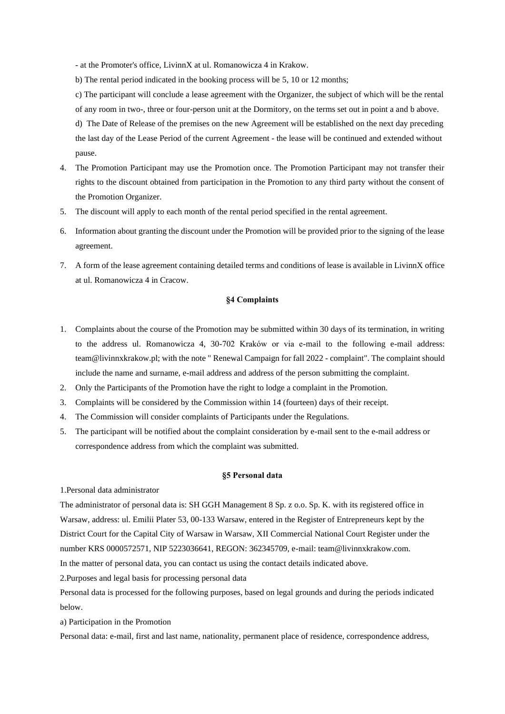- at the Promoter's office, LivinnX at ul. Romanowicza 4 in Krakow.

- b) The rental period indicated in the booking process will be 5, 10 or 12 months;
- c) The participant will conclude a lease agreement with the Organizer, the subject of which will be the rental of any room in two-, three or four-person unit at the Dormitory, on the terms set out in point a and b above.

d) The Date of Release of the premises on the new Agreement will be established on the next day preceding the last day of the Lease Period of the current Agreement - the lease will be continued and extended without pause.

- 4. The Promotion Participant may use the Promotion once. The Promotion Participant may not transfer their rights to the discount obtained from participation in the Promotion to any third party without the consent of the Promotion Organizer.
- 5. The discount will apply to each month of the rental period specified in the rental agreement.
- 6. Information about granting the discount under the Promotion will be provided prior to the signing of the lease agreement.
- 7. A form of the lease agreement containing detailed terms and conditions of lease is available in LivinnX office at ul. Romanowicza 4 in Cracow.

### **§4 Complaints**

- 1. Complaints about the course of the Promotion may be submitted within 30 days of its termination, in writing to the address ul. Romanowicza 4, 30-702 Kraków or via e-mail to the following e-mail address: team@livinnxkrakow.pl; with the note " Renewal Campaign for fall 2022 - complaint". The complaint should include the name and surname, e-mail address and address of the person submitting the complaint.
- 2. Only the Participants of the Promotion have the right to lodge a complaint in the Promotion.
- 3. Complaints will be considered by the Commission within 14 (fourteen) days of their receipt.
- 4. The Commission will consider complaints of Participants under the Regulations.
- 5. The participant will be notified about the complaint consideration by e-mail sent to the e-mail address or correspondence address from which the complaint was submitted.

#### **§5 Personal data**

1.Personal data administrator

The administrator of personal data is: SH GGH Management 8 Sp. z o.o. Sp. K. with its registered office in Warsaw, address: ul. Emilii Plater 53, 00-133 Warsaw, entered in the Register of Entrepreneurs kept by the District Court for the Capital City of Warsaw in Warsaw, XII Commercial National Court Register under the number KRS 0000572571, NIP 5223036641, REGON: 362345709, e-mail: team@livinnxkrakow.com.

In the matter of personal data, you can contact us using the contact details indicated above.

2.Purposes and legal basis for processing personal data

Personal data is processed for the following purposes, based on legal grounds and during the periods indicated below.

a) Participation in the Promotion

Personal data: e-mail, first and last name, nationality, permanent place of residence, correspondence address,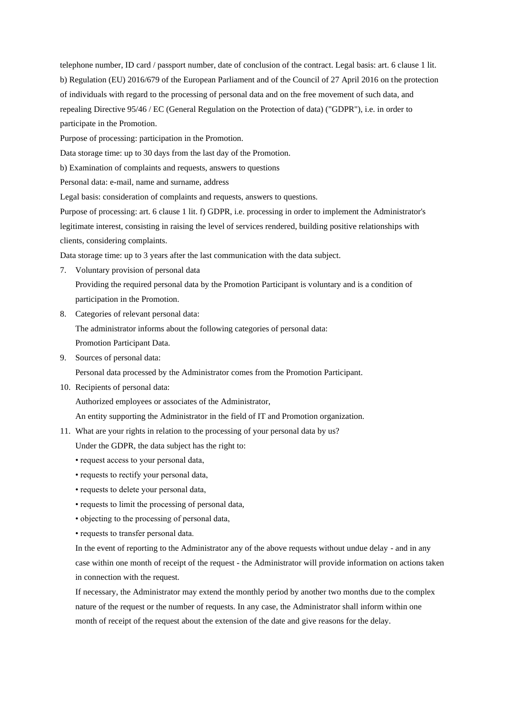telephone number, ID card / passport number, date of conclusion of the contract. Legal basis: art. 6 clause 1 lit. b) Regulation (EU) 2016/679 of the European Parliament and of the Council of 27 April 2016 on the protection of individuals with regard to the processing of personal data and on the free movement of such data, and repealing Directive 95/46 / EC (General Regulation on the Protection of data) ("GDPR"), i.e. in order to participate in the Promotion.

Purpose of processing: participation in the Promotion.

Data storage time: up to 30 days from the last day of the Promotion.

b) Examination of complaints and requests, answers to questions

Personal data: e-mail, name and surname, address

Legal basis: consideration of complaints and requests, answers to questions.

Purpose of processing: art. 6 clause 1 lit. f) GDPR, i.e. processing in order to implement the Administrator's legitimate interest, consisting in raising the level of services rendered, building positive relationships with clients, considering complaints.

Data storage time: up to 3 years after the last communication with the data subject.

7. Voluntary provision of personal data

Providing the required personal data by the Promotion Participant is voluntary and is a condition of participation in the Promotion.

- 8. Categories of relevant personal data: The administrator informs about the following categories of personal data: Promotion Participant Data.
- 9. Sources of personal data:

Personal data processed by the Administrator comes from the Promotion Participant.

10. Recipients of personal data:

Authorized employees or associates of the Administrator,

An entity supporting the Administrator in the field of IT and Promotion organization.

11. What are your rights in relation to the processing of your personal data by us?

Under the GDPR, the data subject has the right to:

- request access to your personal data,
- requests to rectify your personal data,
- requests to delete your personal data,
- requests to limit the processing of personal data,
- objecting to the processing of personal data,
- requests to transfer personal data.

In the event of reporting to the Administrator any of the above requests without undue delay - and in any case within one month of receipt of the request - the Administrator will provide information on actions taken in connection with the request.

If necessary, the Administrator may extend the monthly period by another two months due to the complex nature of the request or the number of requests. In any case, the Administrator shall inform within one month of receipt of the request about the extension of the date and give reasons for the delay.